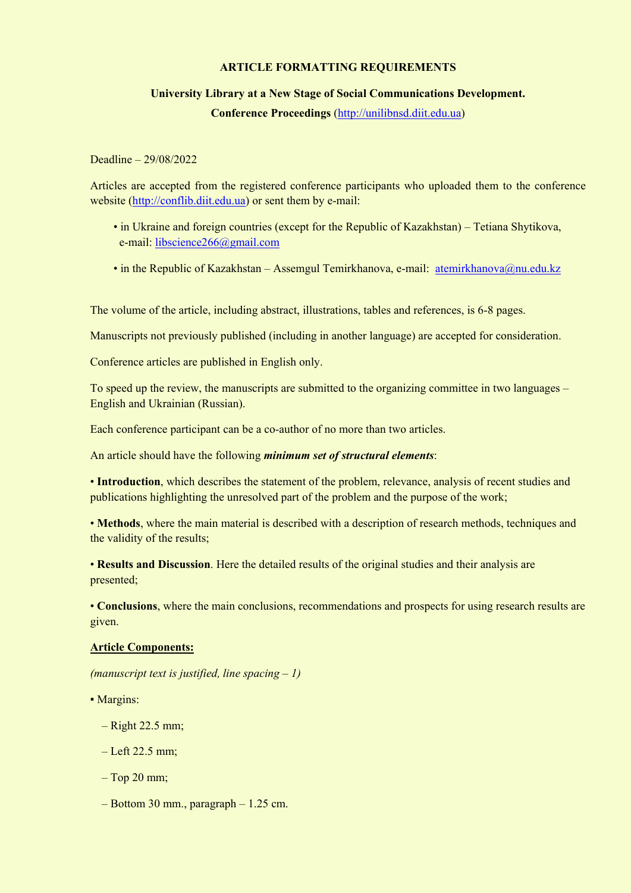## **ARTICLE FORMATTING REQUIREMENTS**

## **University Library at a New Stage of Social Communications Development.**

**Conference Proceedings** [\(http://unilibnsd.diit.edu.ua\)](http://unilibnsd.diit.edu.ua/)

Deadline – 29/08/2022

Articles are accepted from the registered conference participants who uploaded them to the conference website [\(http://conflib.diit.edu.ua\)](http://conflib.diit.edu.ua/) or sent them by e-mail:

- in Ukraine and foreign countries (except for the Republic of Kazakhstan) Tetiana Shytikova, e-mail: [libscience266@gmail.com](mailto:libscience266@gmail.com)
- in the Republic of Kazakhstan Assemgul Temirkhanova, e-mail: atemirkhanova@nu.edu.kz

The volume of the article, including abstract, illustrations, tables and references, is 6-8 pages.

Manuscripts not previously published (including in another language) are accepted for consideration.

Conference articles are published in English only.

To speed up the review, the manuscripts are submitted to the organizing committee in two languages – English and Ukrainian (Russian).

Each conference participant can be a co-author of no more than two articles.

An article should have the following *minimum set of structural elements*:

• **Introduction**, which describes the statement of the problem, relevance, analysis of recent studies and publications highlighting the unresolved part of the problem and the purpose of the work;

• **Methods**, where the main material is described with a description of research methods, techniques and the validity of the results;

• **Results and Discussion**. Here the detailed results of the original studies and their analysis are presented;

• **Conclusions**, where the main conclusions, recommendations and prospects for using research results are given.

## **Article Components:**

*(manuscript text is justified, line spacing – 1)*

• Margins:

- Right 22.5 mm;
- Left 22.5 mm;
- Top 20 mm;
- $-$  Bottom 30 mm., paragraph  $-1.25$  cm.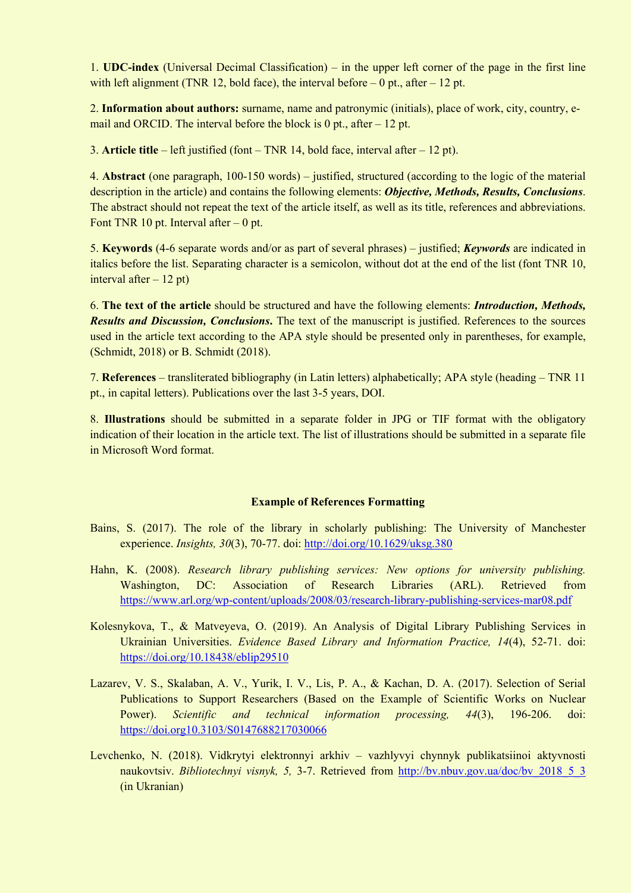1. **UDC-index** (Universal Decimal Classification) – in the upper left corner of the page in the first line with left alignment (TNR 12, bold face), the interval before  $-0$  pt., after  $-12$  pt.

2. **Information about authors:** surname, name and patronymic (initials), place of work, city, country, email and ORCID. The interval before the block is  $0$  pt., after  $-12$  pt.

3. **Article title** – left justified (font – TNR 14, bold face, interval after – 12 pt).

4. **Abstract** (one paragraph, 100-150 words) – justified, structured (according to the logic of the material description in the article) and contains the following elements: *Objective, Methods, Results, Conclusions*. The abstract should not repeat the text of the article itself, as well as its title, references and abbreviations. Font TNR 10 pt. Interval after  $-0$  pt.

5. **Keywords** (4-6 separate words and/or as part of several phrases) – justified; *Keywords* are indicated in italics before the list. Separating character is a semicolon, without dot at the end of the list (font TNR 10, interval after  $-12$  pt)

6. **The text of the article** should be structured and have the following elements: *Introduction, Methods, Results and Discussion, Conclusions***.** The text of the manuscript is justified. References to the sources used in the article text according to the APA style should be presented only in parentheses, for example, (Schmidt, 2018) or B. Schmidt (2018).

7. **References** – transliterated bibliography (in Latin letters) alphabetically; APA style (heading – TNR 11 pt., in capital letters). Publications over the last 3-5 years, DOI.

8. **Illustrations** should be submitted in a separate folder in JPG or TIF format with the obligatory indication of their location in the article text. The list of illustrations should be submitted in a separate file in Microsoft Word format.

## **Example of References Formatting**

- Bains, S. (2017). The role of the library in scholarly publishing: The University of Manchester experience. *Insights, 30*(3), 70-77. doi:<http://doi.org/10.1629/uksg.380>
- Hahn, K. (2008). *Research library publishing services: New options for university publishing.* Washington, DC: Association of Research Libraries (ARL). Retrieved from <https://www.arl.org/wp-content/uploads/2008/03/research-library-publishing-services-mar08.pdf>
- Kolesnykova, T., & Matveyeva, O. (2019). An Analysis of Digital Library Publishing Services in Ukrainian Universities. *Evidence Based Library and Information Practice, 14*(4), 52-71. doi: <https://doi.org/10.18438/eblip29510>
- Lazarev, V. S., Skalaban, A. V., Yurik, I. V., Lis, P. A., & Kachan, D. A. (2017). Selection of Serial Publications to Support Researchers (Based on the Example of Scientific Works on Nuclear Power). *Scientific and technical information processing, 44*(3), 196-206. doi: <https://doi.org10.3103/S0147688217030066>
- Levchenko, N. (2018). Vidkrytyi elektronnyi arkhiv vazhlyvyi chynnyk publikatsiinoi aktyvnosti naukovtsiv. *Bibliotechnyi visnyk*, 5, 3-7. Retrieved from http://bv.nbuv.gov.ua/doc/bv 2018 5 3 (in Ukranian)